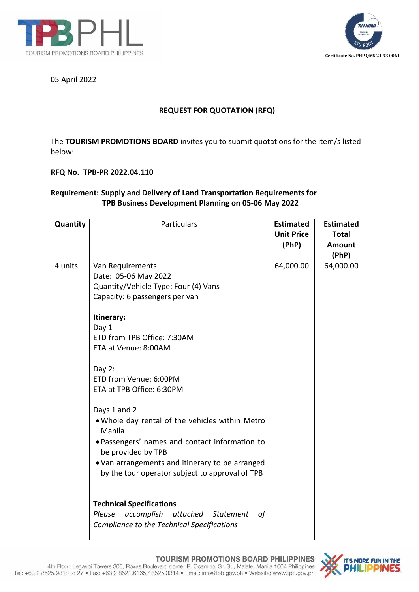



05 April 2022

## **REQUEST FOR QUOTATION (RFQ)**

The **TOURISM PROMOTIONS BOARD** invites you to submit quotations for the item/s listed below:

## **RFQ No. TPB-PR 2022.04.110**

## **Requirement: Supply and Delivery of Land Transportation Requirements for TPB Business Development Planning on 05-06 May 2022**

| Quantity | Particulars                                      | <b>Estimated</b>  | <b>Estimated</b> |
|----------|--------------------------------------------------|-------------------|------------------|
|          |                                                  | <b>Unit Price</b> | <b>Total</b>     |
|          |                                                  | (PhP)             | Amount           |
|          |                                                  |                   | (PhP)            |
| 4 units  | Van Requirements                                 | 64,000.00         | 64,000.00        |
|          | Date: 05-06 May 2022                             |                   |                  |
|          | Quantity/Vehicle Type: Four (4) Vans             |                   |                  |
|          | Capacity: 6 passengers per van                   |                   |                  |
|          | Itinerary:                                       |                   |                  |
|          | Day 1                                            |                   |                  |
|          | ETD from TPB Office: 7:30AM                      |                   |                  |
|          | ETA at Venue: 8:00AM                             |                   |                  |
|          | Day $2$ :                                        |                   |                  |
|          | ETD from Venue: 6:00PM                           |                   |                  |
|          | ETA at TPB Office: 6:30PM                        |                   |                  |
|          |                                                  |                   |                  |
|          | Days 1 and 2                                     |                   |                  |
|          | . Whole day rental of the vehicles within Metro  |                   |                  |
|          | Manila                                           |                   |                  |
|          | · Passengers' names and contact information to   |                   |                  |
|          | be provided by TPB                               |                   |                  |
|          | . Van arrangements and itinerary to be arranged  |                   |                  |
|          | by the tour operator subject to approval of TPB  |                   |                  |
|          |                                                  |                   |                  |
|          |                                                  |                   |                  |
|          | <b>Technical Specifications</b>                  |                   |                  |
|          | Please<br>accomplish<br>attached Statement<br>0f |                   |                  |
|          | Compliance to the Technical Specifications       |                   |                  |
|          |                                                  |                   |                  |

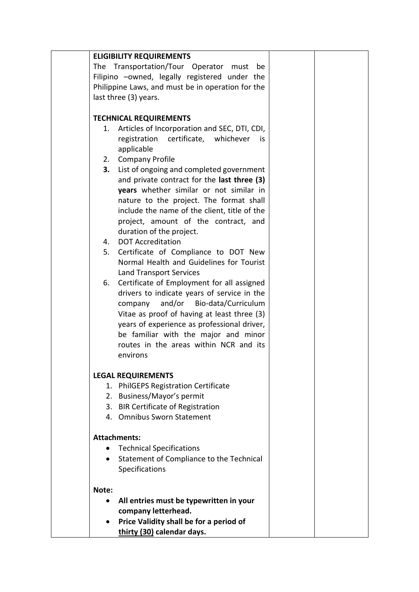| <b>ELIGIBILITY REQUIREMENTS</b>                   |                                                                  |  |  |  |
|---------------------------------------------------|------------------------------------------------------------------|--|--|--|
| The Transportation/Tour Operator must<br>be       |                                                                  |  |  |  |
| Filipino -owned, legally registered under the     |                                                                  |  |  |  |
| Philippine Laws, and must be in operation for the |                                                                  |  |  |  |
| last three (3) years.                             |                                                                  |  |  |  |
|                                                   |                                                                  |  |  |  |
| <b>TECHNICAL REQUIREMENTS</b>                     |                                                                  |  |  |  |
| 1.                                                | Articles of Incorporation and SEC, DTI, CDI,                     |  |  |  |
|                                                   | registration certificate, whichever<br>is                        |  |  |  |
|                                                   | applicable                                                       |  |  |  |
|                                                   | 2. Company Profile                                               |  |  |  |
| 3.                                                | List of ongoing and completed government                         |  |  |  |
|                                                   | and private contract for the last three (3)                      |  |  |  |
|                                                   | years whether similar or not similar in                          |  |  |  |
|                                                   | nature to the project. The format shall                          |  |  |  |
|                                                   | include the name of the client, title of the                     |  |  |  |
|                                                   | project, amount of the contract, and                             |  |  |  |
|                                                   | duration of the project.                                         |  |  |  |
| 4.<br>5.                                          | <b>DOT Accreditation</b><br>Certificate of Compliance to DOT New |  |  |  |
|                                                   | Normal Health and Guidelines for Tourist                         |  |  |  |
|                                                   | <b>Land Transport Services</b>                                   |  |  |  |
| 6.                                                | Certificate of Employment for all assigned                       |  |  |  |
|                                                   | drivers to indicate years of service in the                      |  |  |  |
|                                                   | and/or<br>Bio-data/Curriculum<br>company                         |  |  |  |
|                                                   | Vitae as proof of having at least three (3)                      |  |  |  |
|                                                   | years of experience as professional driver,                      |  |  |  |
|                                                   | be familiar with the major and minor                             |  |  |  |
|                                                   | routes in the areas within NCR and its                           |  |  |  |
|                                                   | environs                                                         |  |  |  |
|                                                   |                                                                  |  |  |  |
|                                                   | <b>LEGAL REQUIREMENTS</b>                                        |  |  |  |
| 1.                                                | <b>PhilGEPS Registration Certificate</b>                         |  |  |  |
|                                                   | 2. Business/Mayor's permit                                       |  |  |  |
|                                                   | 3. BIR Certificate of Registration                               |  |  |  |
|                                                   | 4. Omnibus Sworn Statement                                       |  |  |  |
|                                                   |                                                                  |  |  |  |
|                                                   | <b>Attachments:</b>                                              |  |  |  |
| $\bullet$                                         | <b>Technical Specifications</b>                                  |  |  |  |
| $\bullet$                                         | Statement of Compliance to the Technical                         |  |  |  |
|                                                   | Specifications                                                   |  |  |  |
| Note:                                             |                                                                  |  |  |  |
| $\bullet$                                         | All entries must be typewritten in your                          |  |  |  |
|                                                   | company letterhead.                                              |  |  |  |
| ٠                                                 | Price Validity shall be for a period of                          |  |  |  |
|                                                   | thirty (30) calendar days.                                       |  |  |  |